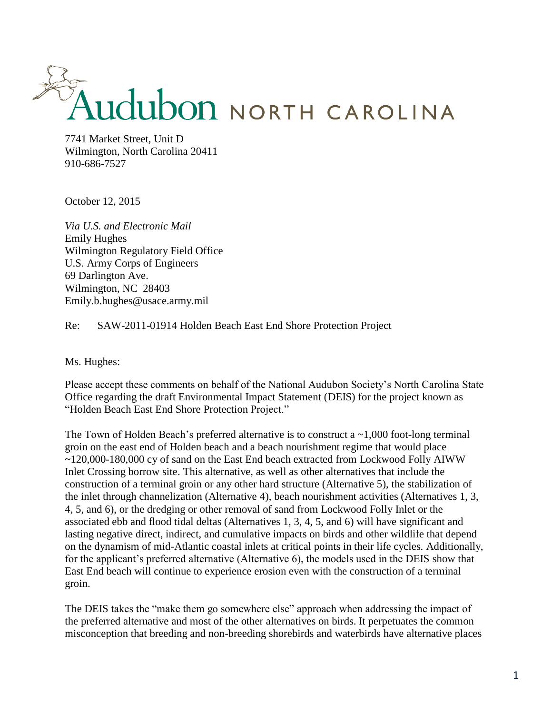## THE MANUSCRIPT OF THE STREET, Unit D

Wilmington, North Carolina 20411 910-686-7527

October 12, 2015

*Via U.S. and Electronic Mail* Emily Hughes Wilmington Regulatory Field Office U.S. Army Corps of Engineers 69 Darlington Ave. Wilmington, NC 28403 Emily.b.hughes@usace.army.mil

Re: SAW-2011-01914 Holden Beach East End Shore Protection Project

Ms. Hughes:

Please accept these comments on behalf of the National Audubon Society's North Carolina State Office regarding the draft Environmental Impact Statement (DEIS) for the project known as "Holden Beach East End Shore Protection Project."

The Town of Holden Beach's preferred alternative is to construct a  $\sim$ 1,000 foot-long terminal groin on the east end of Holden beach and a beach nourishment regime that would place ~120,000-180,000 cy of sand on the East End beach extracted from Lockwood Folly AIWW Inlet Crossing borrow site. This alternative, as well as other alternatives that include the construction of a terminal groin or any other hard structure (Alternative 5), the stabilization of the inlet through channelization (Alternative 4), beach nourishment activities (Alternatives 1, 3, 4, 5, and 6), or the dredging or other removal of sand from Lockwood Folly Inlet or the associated ebb and flood tidal deltas (Alternatives 1, 3, 4, 5, and 6) will have significant and lasting negative direct, indirect, and cumulative impacts on birds and other wildlife that depend on the dynamism of mid-Atlantic coastal inlets at critical points in their life cycles. Additionally, for the applicant's preferred alternative (Alternative 6), the models used in the DEIS show that East End beach will continue to experience erosion even with the construction of a terminal groin.

The DEIS takes the "make them go somewhere else" approach when addressing the impact of the preferred alternative and most of the other alternatives on birds. It perpetuates the common misconception that breeding and non-breeding shorebirds and waterbirds have alternative places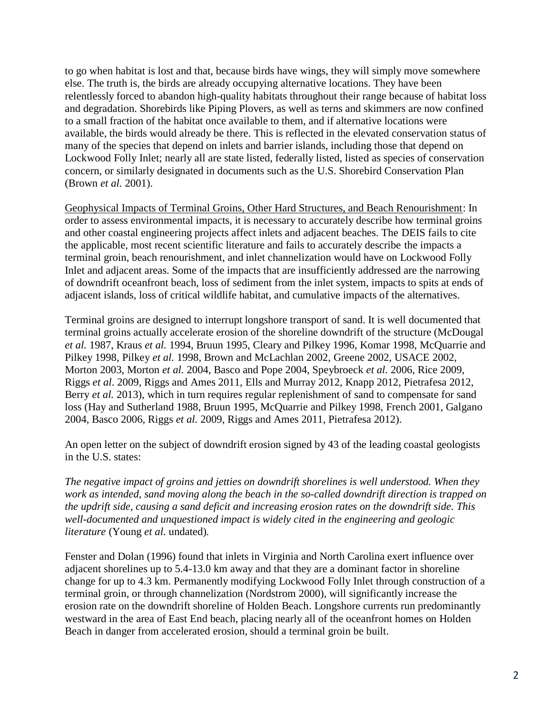to go when habitat is lost and that, because birds have wings, they will simply move somewhere else. The truth is, the birds are already occupying alternative locations. They have been relentlessly forced to abandon high-quality habitats throughout their range because of habitat loss and degradation. Shorebirds like Piping Plovers, as well as terns and skimmers are now confined to a small fraction of the habitat once available to them, and if alternative locations were available, the birds would already be there. This is reflected in the elevated conservation status of many of the species that depend on inlets and barrier islands, including those that depend on Lockwood Folly Inlet; nearly all are state listed, federally listed, listed as species of conservation concern, or similarly designated in documents such as the U.S. Shorebird Conservation Plan (Brown *et al.* 2001).

Geophysical Impacts of Terminal Groins, Other Hard Structures, and Beach Renourishment: In order to assess environmental impacts, it is necessary to accurately describe how terminal groins and other coastal engineering projects affect inlets and adjacent beaches. The DEIS fails to cite the applicable, most recent scientific literature and fails to accurately describe the impacts a terminal groin, beach renourishment, and inlet channelization would have on Lockwood Folly Inlet and adjacent areas. Some of the impacts that are insufficiently addressed are the narrowing of downdrift oceanfront beach, loss of sediment from the inlet system, impacts to spits at ends of adjacent islands, loss of critical wildlife habitat, and cumulative impacts of the alternatives.

Terminal groins are designed to interrupt longshore transport of sand. It is well documented that terminal groins actually accelerate erosion of the shoreline downdrift of the structure (McDougal *et al.* 1987, Kraus *et al.* 1994, Bruun 1995, Cleary and Pilkey 1996, Komar 1998, McQuarrie and Pilkey 1998, Pilkey *et al.* 1998, Brown and McLachlan 2002, Greene 2002, USACE 2002, Morton 2003, Morton *et al.* 2004, Basco and Pope 2004, Speybroeck *et al.* 2006, Rice 2009, Riggs *et al*. 2009, Riggs and Ames 2011, Ells and Murray 2012, Knapp 2012, Pietrafesa 2012, Berry *et al.* 2013), which in turn requires regular replenishment of sand to compensate for sand loss (Hay and Sutherland 1988, Bruun 1995, McQuarrie and Pilkey 1998, French 2001, Galgano 2004, Basco 2006, Riggs *et al.* 2009, Riggs and Ames 2011, Pietrafesa 2012).

An open letter on the subject of downdrift erosion signed by 43 of the leading coastal geologists in the U.S. states:

*The negative impact of groins and jetties on downdrift shorelines is well understood. When they work as intended, sand moving along the beach in the so-called downdrift direction is trapped on the updrift side, causing a sand deficit and increasing erosion rates on the downdrift side. This well-documented and unquestioned impact is widely cited in the engineering and geologic literature* (Young *et al.* undated)*.* 

Fenster and Dolan (1996) found that inlets in Virginia and North Carolina exert influence over adjacent shorelines up to 5.4-13.0 km away and that they are a dominant factor in shoreline change for up to 4.3 km. Permanently modifying Lockwood Folly Inlet through construction of a terminal groin, or through channelization (Nordstrom 2000), will significantly increase the erosion rate on the downdrift shoreline of Holden Beach. Longshore currents run predominantly westward in the area of East End beach, placing nearly all of the oceanfront homes on Holden Beach in danger from accelerated erosion, should a terminal groin be built.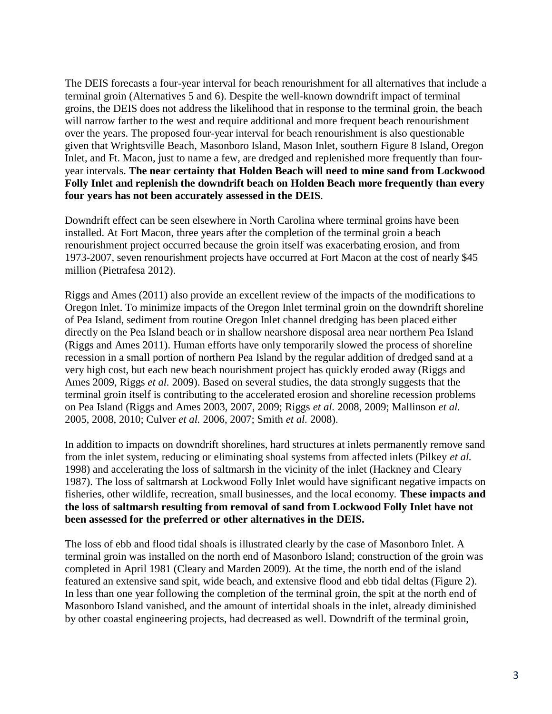The DEIS forecasts a four-year interval for beach renourishment for all alternatives that include a terminal groin (Alternatives 5 and 6). Despite the well-known downdrift impact of terminal groins, the DEIS does not address the likelihood that in response to the terminal groin, the beach will narrow farther to the west and require additional and more frequent beach renourishment over the years. The proposed four-year interval for beach renourishment is also questionable given that Wrightsville Beach, Masonboro Island, Mason Inlet, southern Figure 8 Island, Oregon Inlet, and Ft. Macon, just to name a few, are dredged and replenished more frequently than fouryear intervals. **The near certainty that Holden Beach will need to mine sand from Lockwood Folly Inlet and replenish the downdrift beach on Holden Beach more frequently than every four years has not been accurately assessed in the DEIS**.

Downdrift effect can be seen elsewhere in North Carolina where terminal groins have been installed. At Fort Macon, three years after the completion of the terminal groin a beach renourishment project occurred because the groin itself was exacerbating erosion, and from 1973-2007, seven renourishment projects have occurred at Fort Macon at the cost of nearly \$45 million (Pietrafesa 2012).

Riggs and Ames (2011) also provide an excellent review of the impacts of the modifications to Oregon Inlet. To minimize impacts of the Oregon Inlet terminal groin on the downdrift shoreline of Pea Island, sediment from routine Oregon Inlet channel dredging has been placed either directly on the Pea Island beach or in shallow nearshore disposal area near northern Pea Island (Riggs and Ames 2011). Human efforts have only temporarily slowed the process of shoreline recession in a small portion of northern Pea Island by the regular addition of dredged sand at a very high cost, but each new beach nourishment project has quickly eroded away (Riggs and Ames 2009, Riggs *et al.* 2009). Based on several studies, the data strongly suggests that the terminal groin itself is contributing to the accelerated erosion and shoreline recession problems on Pea Island (Riggs and Ames 2003, 2007, 2009; Riggs *et al.* 2008, 2009; Mallinson *et al.*  2005, 2008, 2010; Culver *et al.* 2006, 2007; Smith *et al.* 2008).

In addition to impacts on downdrift shorelines, hard structures at inlets permanently remove sand from the inlet system, reducing or eliminating shoal systems from affected inlets (Pilkey *et al.*  1998) and accelerating the loss of saltmarsh in the vicinity of the inlet (Hackney and Cleary 1987). The loss of saltmarsh at Lockwood Folly Inlet would have significant negative impacts on fisheries, other wildlife, recreation, small businesses, and the local economy. **These impacts and the loss of saltmarsh resulting from removal of sand from Lockwood Folly Inlet have not been assessed for the preferred or other alternatives in the DEIS.** 

The loss of ebb and flood tidal shoals is illustrated clearly by the case of Masonboro Inlet. A terminal groin was installed on the north end of Masonboro Island; construction of the groin was completed in April 1981 (Cleary and Marden 2009). At the time, the north end of the island featured an extensive sand spit, wide beach, and extensive flood and ebb tidal deltas (Figure 2). In less than one year following the completion of the terminal groin, the spit at the north end of Masonboro Island vanished, and the amount of intertidal shoals in the inlet, already diminished by other coastal engineering projects, had decreased as well. Downdrift of the terminal groin,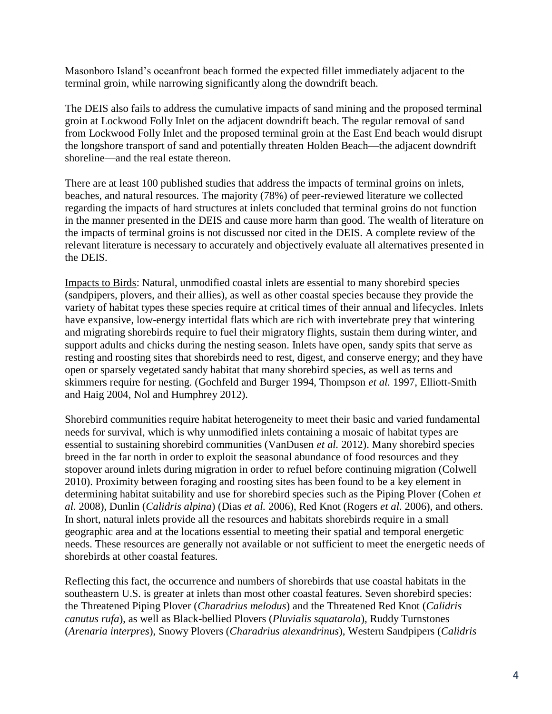Masonboro Island's oceanfront beach formed the expected fillet immediately adjacent to the terminal groin, while narrowing significantly along the downdrift beach.

The DEIS also fails to address the cumulative impacts of sand mining and the proposed terminal groin at Lockwood Folly Inlet on the adjacent downdrift beach. The regular removal of sand from Lockwood Folly Inlet and the proposed terminal groin at the East End beach would disrupt the longshore transport of sand and potentially threaten Holden Beach—the adjacent downdrift shoreline—and the real estate thereon.

There are at least 100 published studies that address the impacts of terminal groins on inlets, beaches, and natural resources. The majority (78%) of peer-reviewed literature we collected regarding the impacts of hard structures at inlets concluded that terminal groins do not function in the manner presented in the DEIS and cause more harm than good. The wealth of literature on the impacts of terminal groins is not discussed nor cited in the DEIS. A complete review of the relevant literature is necessary to accurately and objectively evaluate all alternatives presented in the DEIS.

Impacts to Birds: Natural, unmodified coastal inlets are essential to many shorebird species (sandpipers, plovers, and their allies), as well as other coastal species because they provide the variety of habitat types these species require at critical times of their annual and lifecycles. Inlets have expansive, low-energy intertidal flats which are rich with invertebrate prey that wintering and migrating shorebirds require to fuel their migratory flights, sustain them during winter, and support adults and chicks during the nesting season. Inlets have open, sandy spits that serve as resting and roosting sites that shorebirds need to rest, digest, and conserve energy; and they have open or sparsely vegetated sandy habitat that many shorebird species, as well as terns and skimmers require for nesting. (Gochfeld and Burger 1994, Thompson *et al.* 1997, Elliott-Smith and Haig 2004, Nol and Humphrey 2012).

Shorebird communities require habitat heterogeneity to meet their basic and varied fundamental needs for survival, which is why unmodified inlets containing a mosaic of habitat types are essential to sustaining shorebird communities (VanDusen *et al.* 2012). Many shorebird species breed in the far north in order to exploit the seasonal abundance of food resources and they stopover around inlets during migration in order to refuel before continuing migration (Colwell 2010). Proximity between foraging and roosting sites has been found to be a key element in determining habitat suitability and use for shorebird species such as the Piping Plover (Cohen *et al.* 2008), Dunlin (*Calidris alpina*) (Dias *et al.* 2006), Red Knot (Rogers *et al.* 2006), and others. In short, natural inlets provide all the resources and habitats shorebirds require in a small geographic area and at the locations essential to meeting their spatial and temporal energetic needs. These resources are generally not available or not sufficient to meet the energetic needs of shorebirds at other coastal features.

Reflecting this fact, the occurrence and numbers of shorebirds that use coastal habitats in the southeastern U.S. is greater at inlets than most other coastal features. Seven shorebird species: the Threatened Piping Plover (*Charadrius melodus*) and the Threatened Red Knot (*Calidris canutus rufa*), as well as Black-bellied Plovers (*Pluvialis squatarola*), Ruddy Turnstones (*Arenaria interpres*), Snowy Plovers (*Charadrius alexandrinus*), Western Sandpipers (*Calidris*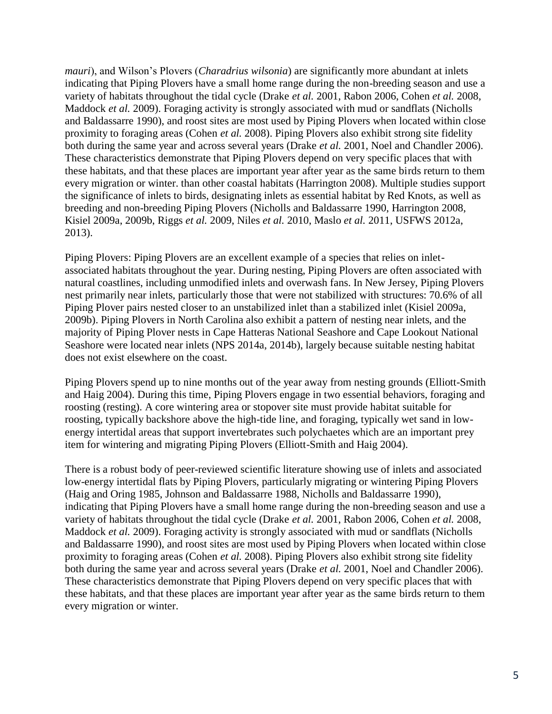*mauri*), and Wilson's Plovers (*Charadrius wilsonia*) are significantly more abundant at inlets indicating that Piping Plovers have a small home range during the non-breeding season and use a variety of habitats throughout the tidal cycle (Drake *et al.* 2001, Rabon 2006, Cohen *et al.* 2008, Maddock *et al.* 2009). Foraging activity is strongly associated with mud or sandflats (Nicholls and Baldassarre 1990), and roost sites are most used by Piping Plovers when located within close proximity to foraging areas (Cohen *et al.* 2008). Piping Plovers also exhibit strong site fidelity both during the same year and across several years (Drake *et al.* 2001, Noel and Chandler 2006). These characteristics demonstrate that Piping Plovers depend on very specific places that with these habitats, and that these places are important year after year as the same birds return to them every migration or winter. than other coastal habitats (Harrington 2008). Multiple studies support the significance of inlets to birds, designating inlets as essential habitat by Red Knots, as well as breeding and non-breeding Piping Plovers (Nicholls and Baldassarre 1990, Harrington 2008, Kisiel 2009a, 2009b, Riggs *et al.* 2009, Niles *et al.* 2010, Maslo *et al.* 2011, USFWS 2012a, 2013).

Piping Plovers: Piping Plovers are an excellent example of a species that relies on inletassociated habitats throughout the year. During nesting, Piping Plovers are often associated with natural coastlines, including unmodified inlets and overwash fans. In New Jersey, Piping Plovers nest primarily near inlets, particularly those that were not stabilized with structures: 70.6% of all Piping Plover pairs nested closer to an unstabilized inlet than a stabilized inlet (Kisiel 2009a, 2009b). Piping Plovers in North Carolina also exhibit a pattern of nesting near inlets, and the majority of Piping Plover nests in Cape Hatteras National Seashore and Cape Lookout National Seashore were located near inlets (NPS 2014a, 2014b), largely because suitable nesting habitat does not exist elsewhere on the coast.

Piping Plovers spend up to nine months out of the year away from nesting grounds (Elliott-Smith and Haig 2004). During this time, Piping Plovers engage in two essential behaviors, foraging and roosting (resting). A core wintering area or stopover site must provide habitat suitable for roosting, typically backshore above the high-tide line, and foraging, typically wet sand in lowenergy intertidal areas that support invertebrates such polychaetes which are an important prey item for wintering and migrating Piping Plovers (Elliott-Smith and Haig 2004).

There is a robust body of peer-reviewed scientific literature showing use of inlets and associated low-energy intertidal flats by Piping Plovers, particularly migrating or wintering Piping Plovers (Haig and Oring 1985, Johnson and Baldassarre 1988, Nicholls and Baldassarre 1990), indicating that Piping Plovers have a small home range during the non-breeding season and use a variety of habitats throughout the tidal cycle (Drake *et al.* 2001, Rabon 2006, Cohen *et al.* 2008, Maddock *et al.* 2009). Foraging activity is strongly associated with mud or sandflats (Nicholls and Baldassarre 1990), and roost sites are most used by Piping Plovers when located within close proximity to foraging areas (Cohen *et al.* 2008). Piping Plovers also exhibit strong site fidelity both during the same year and across several years (Drake *et al.* 2001, Noel and Chandler 2006). These characteristics demonstrate that Piping Plovers depend on very specific places that with these habitats, and that these places are important year after year as the same birds return to them every migration or winter.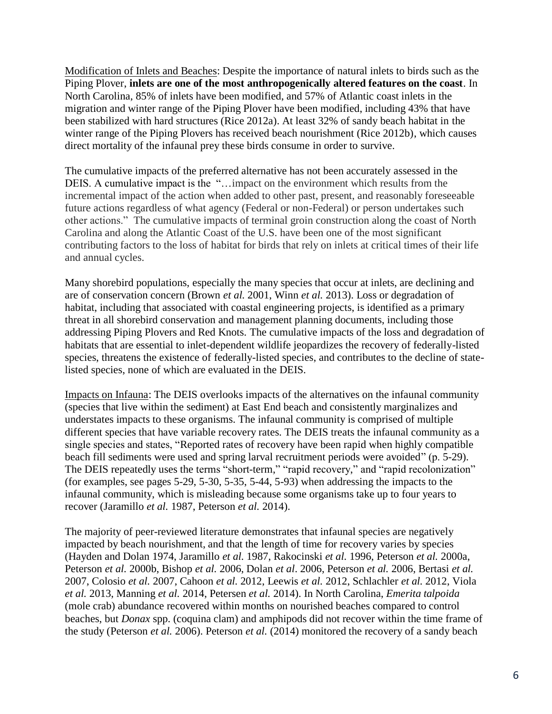Modification of Inlets and Beaches: Despite the importance of natural inlets to birds such as the Piping Plover, **inlets are one of the most anthropogenically altered features on the coast**. In North Carolina, 85% of inlets have been modified, and 57% of Atlantic coast inlets in the migration and winter range of the Piping Plover have been modified, including 43% that have been stabilized with hard structures (Rice 2012a). At least 32% of sandy beach habitat in the winter range of the Piping Plovers has received beach nourishment (Rice 2012b), which causes direct mortality of the infaunal prey these birds consume in order to survive.

The cumulative impacts of the preferred alternative has not been accurately assessed in the DEIS. A cumulative impact is the "…impact on the environment which results from the incremental impact of the action when added to other past, present, and reasonably foreseeable future actions regardless of what agency (Federal or non-Federal) or person undertakes such other actions." The cumulative impacts of terminal groin construction along the coast of North Carolina and along the Atlantic Coast of the U.S. have been one of the most significant contributing factors to the loss of habitat for birds that rely on inlets at critical times of their life and annual cycles.

Many shorebird populations, especially the many species that occur at inlets, are declining and are of conservation concern (Brown *et al.* 2001, Winn *et al.* 2013). Loss or degradation of habitat, including that associated with coastal engineering projects, is identified as a primary threat in all shorebird conservation and management planning documents, including those addressing Piping Plovers and Red Knots. The cumulative impacts of the loss and degradation of habitats that are essential to inlet-dependent wildlife jeopardizes the recovery of federally-listed species, threatens the existence of federally-listed species, and contributes to the decline of statelisted species, none of which are evaluated in the DEIS.

Impacts on Infauna: The DEIS overlooks impacts of the alternatives on the infaunal community (species that live within the sediment) at East End beach and consistently marginalizes and understates impacts to these organisms. The infaunal community is comprised of multiple different species that have variable recovery rates. The DEIS treats the infaunal community as a single species and states, "Reported rates of recovery have been rapid when highly compatible beach fill sediments were used and spring larval recruitment periods were avoided" (p. 5-29). The DEIS repeatedly uses the terms "short-term," "rapid recovery," and "rapid recolonization" (for examples, see pages 5-29, 5-30, 5-35, 5-44, 5-93) when addressing the impacts to the infaunal community, which is misleading because some organisms take up to four years to recover (Jaramillo *et al.* 1987, Peterson *et al.* 2014).

The majority of peer-reviewed literature demonstrates that infaunal species are negatively impacted by beach nourishment, and that the length of time for recovery varies by species (Hayden and Dolan 1974, Jaramillo *et al.* 1987, Rakocinski *et al.* 1996, Peterson *et al.* 2000a, Peterson *et al.* 2000b, Bishop *et al.* 2006, Dolan *et al*. 2006, Peterson *et al.* 2006, Bertasi *et al.*  2007, Colosio *et al.* 2007, Cahoon *et al.* 2012, Leewis *et al.* 2012, Schlachler *et al.* 2012, Viola *et al.* 2013, Manning *et al.* 2014, Petersen *et al.* 2014). In North Carolina, *Emerita talpoida*  (mole crab) abundance recovered within months on nourished beaches compared to control beaches, but *Donax* spp. (coquina clam) and amphipods did not recover within the time frame of the study (Peterson *et al.* 2006). Peterson *et al.* (2014) monitored the recovery of a sandy beach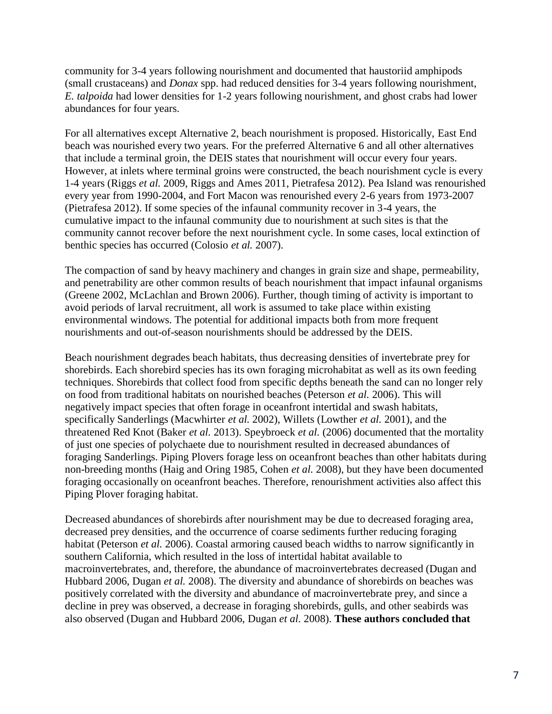community for 3-4 years following nourishment and documented that haustoriid amphipods (small crustaceans) and *Donax* spp. had reduced densities for 3-4 years following nourishment, *E. talpoida* had lower densities for 1-2 years following nourishment, and ghost crabs had lower abundances for four years.

For all alternatives except Alternative 2, beach nourishment is proposed. Historically, East End beach was nourished every two years. For the preferred Alternative 6 and all other alternatives that include a terminal groin, the DEIS states that nourishment will occur every four years. However, at inlets where terminal groins were constructed, the beach nourishment cycle is every 1-4 years (Riggs *et al.* 2009, Riggs and Ames 2011, Pietrafesa 2012). Pea Island was renourished every year from 1990-2004, and Fort Macon was renourished every 2-6 years from 1973-2007 (Pietrafesa 2012). If some species of the infaunal community recover in 3-4 years, the cumulative impact to the infaunal community due to nourishment at such sites is that the community cannot recover before the next nourishment cycle. In some cases, local extinction of benthic species has occurred (Colosio *et al.* 2007).

The compaction of sand by heavy machinery and changes in grain size and shape, permeability, and penetrability are other common results of beach nourishment that impact infaunal organisms (Greene 2002, McLachlan and Brown 2006). Further, though timing of activity is important to avoid periods of larval recruitment, all work is assumed to take place within existing environmental windows. The potential for additional impacts both from more frequent nourishments and out-of-season nourishments should be addressed by the DEIS.

Beach nourishment degrades beach habitats, thus decreasing densities of invertebrate prey for shorebirds. Each shorebird species has its own foraging microhabitat as well as its own feeding techniques. Shorebirds that collect food from specific depths beneath the sand can no longer rely on food from traditional habitats on nourished beaches (Peterson *et al.* 2006). This will negatively impact species that often forage in oceanfront intertidal and swash habitats, specifically Sanderlings (Macwhirter *et al.* 2002), Willets (Lowther *et al.* 2001), and the threatened Red Knot (Baker *et al.* 2013). Speybroeck *et al.* (2006) documented that the mortality of just one species of polychaete due to nourishment resulted in decreased abundances of foraging Sanderlings. Piping Plovers forage less on oceanfront beaches than other habitats during non-breeding months (Haig and Oring 1985, Cohen *et al.* 2008), but they have been documented foraging occasionally on oceanfront beaches. Therefore, renourishment activities also affect this Piping Plover foraging habitat.

Decreased abundances of shorebirds after nourishment may be due to decreased foraging area, decreased prey densities, and the occurrence of coarse sediments further reducing foraging habitat (Peterson *et al.* 2006). Coastal armoring caused beach widths to narrow significantly in southern California, which resulted in the loss of intertidal habitat available to macroinvertebrates, and, therefore, the abundance of macroinvertebrates decreased (Dugan and Hubbard 2006, Dugan *et al.* 2008). The diversity and abundance of shorebirds on beaches was positively correlated with the diversity and abundance of macroinvertebrate prey, and since a decline in prey was observed, a decrease in foraging shorebirds, gulls, and other seabirds was also observed (Dugan and Hubbard 2006, Dugan *et al.* 2008). **These authors concluded that**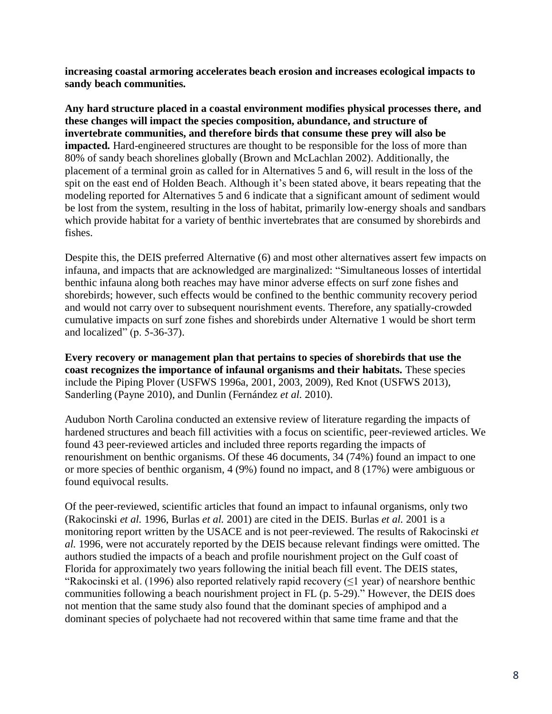**increasing coastal armoring accelerates beach erosion and increases ecological impacts to sandy beach communities.**

**Any hard structure placed in a coastal environment modifies physical processes there, and these changes will impact the species composition, abundance, and structure of invertebrate communities, and therefore birds that consume these prey will also be impacted.** Hard-engineered structures are thought to be responsible for the loss of more than 80% of sandy beach shorelines globally (Brown and McLachlan 2002). Additionally, the placement of a terminal groin as called for in Alternatives 5 and 6, will result in the loss of the spit on the east end of Holden Beach. Although it's been stated above, it bears repeating that the modeling reported for Alternatives 5 and 6 indicate that a significant amount of sediment would be lost from the system, resulting in the loss of habitat, primarily low-energy shoals and sandbars which provide habitat for a variety of benthic invertebrates that are consumed by shorebirds and fishes.

Despite this, the DEIS preferred Alternative (6) and most other alternatives assert few impacts on infauna, and impacts that are acknowledged are marginalized: "Simultaneous losses of intertidal benthic infauna along both reaches may have minor adverse effects on surf zone fishes and shorebirds; however, such effects would be confined to the benthic community recovery period and would not carry over to subsequent nourishment events. Therefore, any spatially-crowded cumulative impacts on surf zone fishes and shorebirds under Alternative 1 would be short term and localized" (p. 5-36-37).

**Every recovery or management plan that pertains to species of shorebirds that use the coast recognizes the importance of infaunal organisms and their habitats.** These species include the Piping Plover (USFWS 1996a, 2001, 2003, 2009), Red Knot (USFWS 2013), Sanderling (Payne 2010), and Dunlin (Fernández *et al.* 2010).

Audubon North Carolina conducted an extensive review of literature regarding the impacts of hardened structures and beach fill activities with a focus on scientific, peer-reviewed articles. We found 43 peer-reviewed articles and included three reports regarding the impacts of renourishment on benthic organisms. Of these 46 documents, 34 (74%) found an impact to one or more species of benthic organism, 4 (9%) found no impact, and 8 (17%) were ambiguous or found equivocal results.

Of the peer-reviewed, scientific articles that found an impact to infaunal organisms, only two (Rakocinski *et al.* 1996, Burlas *et al.* 2001) are cited in the DEIS. Burlas *et al.* 2001 is a monitoring report written by the USACE and is not peer-reviewed. The results of Rakocinski *et al.* 1996, were not accurately reported by the DEIS because relevant findings were omitted. The authors studied the impacts of a beach and profile nourishment project on the Gulf coast of Florida for approximately two years following the initial beach fill event. The DEIS states, "Rakocinski et al. (1996) also reported relatively rapid recovery  $(\leq 1$  year) of nearshore benthic communities following a beach nourishment project in FL (p. 5-29)." However, the DEIS does not mention that the same study also found that the dominant species of amphipod and a dominant species of polychaete had not recovered within that same time frame and that the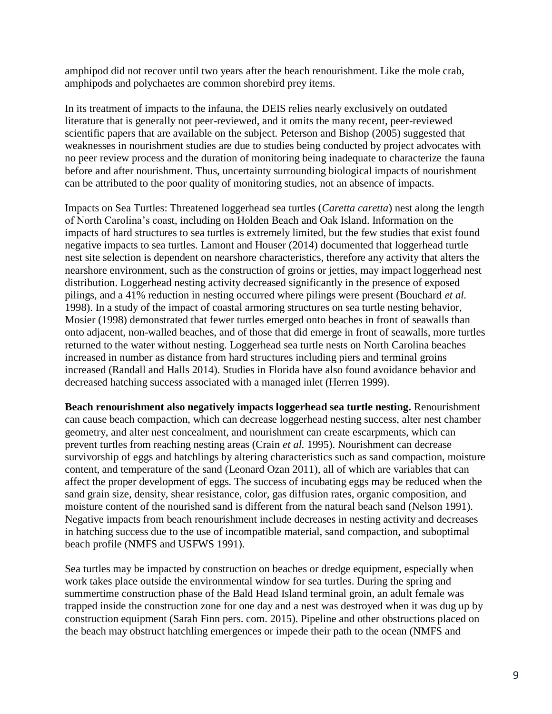amphipod did not recover until two years after the beach renourishment. Like the mole crab, amphipods and polychaetes are common shorebird prey items.

In its treatment of impacts to the infauna, the DEIS relies nearly exclusively on outdated literature that is generally not peer-reviewed, and it omits the many recent, peer-reviewed scientific papers that are available on the subject. Peterson and Bishop (2005) suggested that weaknesses in nourishment studies are due to studies being conducted by project advocates with no peer review process and the duration of monitoring being inadequate to characterize the fauna before and after nourishment. Thus, uncertainty surrounding biological impacts of nourishment can be attributed to the poor quality of monitoring studies, not an absence of impacts.

Impacts on Sea Turtles: Threatened loggerhead sea turtles (*Caretta caretta*) nest along the length of North Carolina's coast, including on Holden Beach and Oak Island. Information on the impacts of hard structures to sea turtles is extremely limited, but the few studies that exist found negative impacts to sea turtles. Lamont and Houser (2014) documented that loggerhead turtle nest site selection is dependent on nearshore characteristics, therefore any activity that alters the nearshore environment, such as the construction of groins or jetties, may impact loggerhead nest distribution. Loggerhead nesting activity decreased significantly in the presence of exposed pilings, and a 41% reduction in nesting occurred where pilings were present (Bouchard *et al.*  1998). In a study of the impact of coastal armoring structures on sea turtle nesting behavior, Mosier (1998) demonstrated that fewer turtles emerged onto beaches in front of seawalls than onto adjacent, non-walled beaches, and of those that did emerge in front of seawalls, more turtles returned to the water without nesting. Loggerhead sea turtle nests on North Carolina beaches increased in number as distance from hard structures including piers and terminal groins increased (Randall and Halls 2014). Studies in Florida have also found avoidance behavior and decreased hatching success associated with a managed inlet (Herren 1999).

**Beach renourishment also negatively impacts loggerhead sea turtle nesting.** Renourishment can cause beach compaction, which can decrease loggerhead nesting success, alter nest chamber geometry, and alter nest concealment, and nourishment can create escarpments, which can prevent turtles from reaching nesting areas (Crain *et al.* 1995). Nourishment can decrease survivorship of eggs and hatchlings by altering characteristics such as sand compaction, moisture content, and temperature of the sand (Leonard Ozan 2011), all of which are variables that can affect the proper development of eggs. The success of incubating eggs may be reduced when the sand grain size, density, shear resistance, color, gas diffusion rates, organic composition, and moisture content of the nourished sand is different from the natural beach sand (Nelson 1991). Negative impacts from beach renourishment include decreases in nesting activity and decreases in hatching success due to the use of incompatible material, sand compaction, and suboptimal beach profile (NMFS and USFWS 1991).

Sea turtles may be impacted by construction on beaches or dredge equipment, especially when work takes place outside the environmental window for sea turtles. During the spring and summertime construction phase of the Bald Head Island terminal groin, an adult female was trapped inside the construction zone for one day and a nest was destroyed when it was dug up by construction equipment (Sarah Finn pers. com. 2015). Pipeline and other obstructions placed on the beach may obstruct hatchling emergences or impede their path to the ocean (NMFS and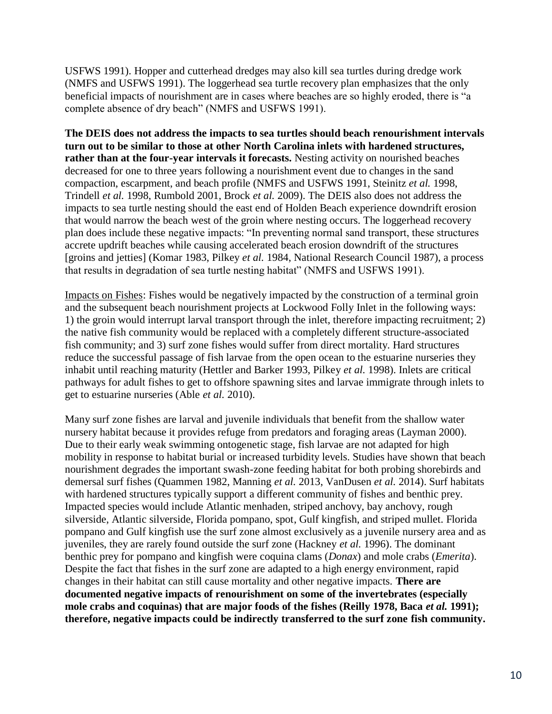USFWS 1991). Hopper and cutterhead dredges may also kill sea turtles during dredge work (NMFS and USFWS 1991). The loggerhead sea turtle recovery plan emphasizes that the only beneficial impacts of nourishment are in cases where beaches are so highly eroded, there is "a complete absence of dry beach" (NMFS and USFWS 1991).

**The DEIS does not address the impacts to sea turtles should beach renourishment intervals turn out to be similar to those at other North Carolina inlets with hardened structures, rather than at the four-year intervals it forecasts.** Nesting activity on nourished beaches decreased for one to three years following a nourishment event due to changes in the sand compaction, escarpment, and beach profile (NMFS and USFWS 1991, Steinitz *et al.* 1998, Trindell *et al.* 1998, Rumbold 2001, Brock *et al.* 2009). The DEIS also does not address the impacts to sea turtle nesting should the east end of Holden Beach experience downdrift erosion that would narrow the beach west of the groin where nesting occurs. The loggerhead recovery plan does include these negative impacts: "In preventing normal sand transport, these structures accrete updrift beaches while causing accelerated beach erosion downdrift of the structures [groins and jetties] (Komar 1983, Pilkey *et al.* 1984, National Research Council 1987), a process that results in degradation of sea turtle nesting habitat" (NMFS and USFWS 1991).

Impacts on Fishes: Fishes would be negatively impacted by the construction of a terminal groin and the subsequent beach nourishment projects at Lockwood Folly Inlet in the following ways: 1) the groin would interrupt larval transport through the inlet, therefore impacting recruitment; 2) the native fish community would be replaced with a completely different structure-associated fish community; and 3) surf zone fishes would suffer from direct mortality. Hard structures reduce the successful passage of fish larvae from the open ocean to the estuarine nurseries they inhabit until reaching maturity (Hettler and Barker 1993, Pilkey *et al.* 1998). Inlets are critical pathways for adult fishes to get to offshore spawning sites and larvae immigrate through inlets to get to estuarine nurseries (Able *et al.* 2010).

Many surf zone fishes are larval and juvenile individuals that benefit from the shallow water nursery habitat because it provides refuge from predators and foraging areas (Layman 2000). Due to their early weak swimming ontogenetic stage, fish larvae are not adapted for high mobility in response to habitat burial or increased turbidity levels. Studies have shown that beach nourishment degrades the important swash-zone feeding habitat for both probing shorebirds and demersal surf fishes (Quammen 1982, Manning *et al.* 2013, VanDusen *et al.* 2014). Surf habitats with hardened structures typically support a different community of fishes and benthic prey. Impacted species would include Atlantic menhaden, striped anchovy, bay anchovy, rough silverside, Atlantic silverside, Florida pompano, spot, Gulf kingfish, and striped mullet. Florida pompano and Gulf kingfish use the surf zone almost exclusively as a juvenile nursery area and as juveniles, they are rarely found outside the surf zone (Hackney *et al.* 1996). The dominant benthic prey for pompano and kingfish were coquina clams (*Donax*) and mole crabs (*Emerita*). Despite the fact that fishes in the surf zone are adapted to a high energy environment, rapid changes in their habitat can still cause mortality and other negative impacts. **There are documented negative impacts of renourishment on some of the invertebrates (especially**  mole crabs and coquinas) that are major foods of the fishes (Reilly 1978, Baca *et al.* 1991); **therefore, negative impacts could be indirectly transferred to the surf zone fish community.**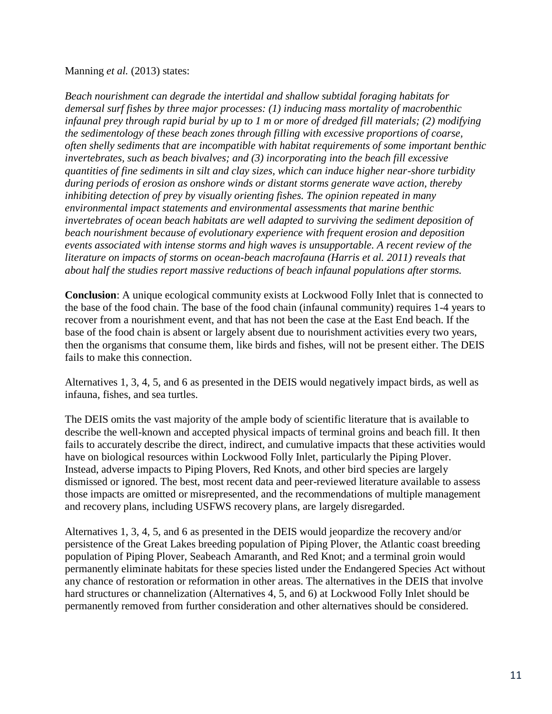## Manning *et al.* (2013) states:

*Beach nourishment can degrade the intertidal and shallow subtidal foraging habitats for demersal surf fishes by three major processes: (1) inducing mass mortality of macrobenthic infaunal prey through rapid burial by up to 1 m or more of dredged fill materials; (2) modifying the sedimentology of these beach zones through filling with excessive proportions of coarse, often shelly sediments that are incompatible with habitat requirements of some important benthic invertebrates, such as beach bivalves; and (3) incorporating into the beach fill excessive quantities of fine sediments in silt and clay sizes, which can induce higher near-shore turbidity during periods of erosion as onshore winds or distant storms generate wave action, thereby inhibiting detection of prey by visually orienting fishes. The opinion repeated in many environmental impact statements and environmental assessments that marine benthic invertebrates of ocean beach habitats are well adapted to surviving the sediment deposition of beach nourishment because of evolutionary experience with frequent erosion and deposition events associated with intense storms and high waves is unsupportable. A recent review of the literature on impacts of storms on ocean-beach macrofauna (Harris et al. 2011) reveals that about half the studies report massive reductions of beach infaunal populations after storms.*

**Conclusion**: A unique ecological community exists at Lockwood Folly Inlet that is connected to the base of the food chain. The base of the food chain (infaunal community) requires 1-4 years to recover from a nourishment event, and that has not been the case at the East End beach. If the base of the food chain is absent or largely absent due to nourishment activities every two years, then the organisms that consume them, like birds and fishes, will not be present either. The DEIS fails to make this connection.

Alternatives 1, 3, 4, 5, and 6 as presented in the DEIS would negatively impact birds, as well as infauna, fishes, and sea turtles.

The DEIS omits the vast majority of the ample body of scientific literature that is available to describe the well-known and accepted physical impacts of terminal groins and beach fill. It then fails to accurately describe the direct, indirect, and cumulative impacts that these activities would have on biological resources within Lockwood Folly Inlet, particularly the Piping Plover. Instead, adverse impacts to Piping Plovers, Red Knots, and other bird species are largely dismissed or ignored. The best, most recent data and peer-reviewed literature available to assess those impacts are omitted or misrepresented, and the recommendations of multiple management and recovery plans, including USFWS recovery plans, are largely disregarded.

Alternatives 1, 3, 4, 5, and 6 as presented in the DEIS would jeopardize the recovery and/or persistence of the Great Lakes breeding population of Piping Plover, the Atlantic coast breeding population of Piping Plover, Seabeach Amaranth, and Red Knot; and a terminal groin would permanently eliminate habitats for these species listed under the Endangered Species Act without any chance of restoration or reformation in other areas. The alternatives in the DEIS that involve hard structures or channelization (Alternatives 4, 5, and 6) at Lockwood Folly Inlet should be permanently removed from further consideration and other alternatives should be considered.